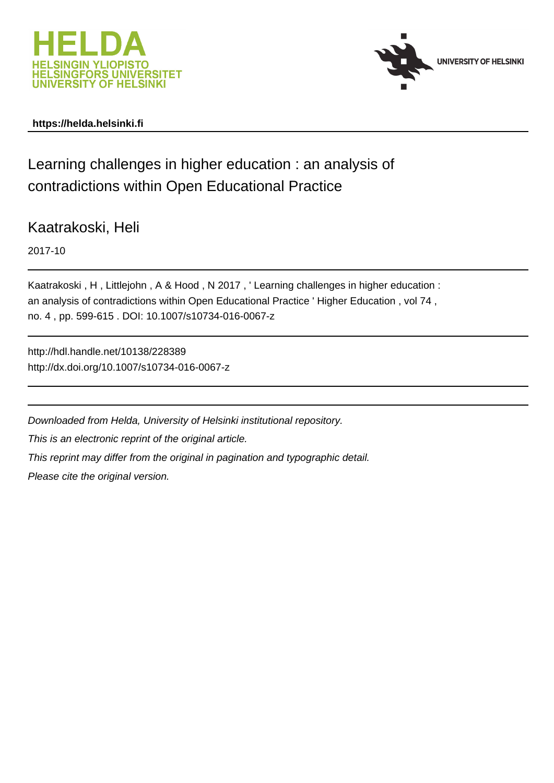



# **https://helda.helsinki.fi**

# Learning challenges in higher education : an analysis of contradictions within Open Educational Practice

Kaatrakoski, Heli

2017-10

Kaatrakoski , H , Littlejohn , A & Hood , N 2017 , ' Learning challenges in higher education : an analysis of contradictions within Open Educational Practice ' Higher Education , vol 74 , no. 4 , pp. 599-615 . DOI: 10.1007/s10734-016-0067-z

http://hdl.handle.net/10138/228389 http://dx.doi.org/10.1007/s10734-016-0067-z

Downloaded from Helda, University of Helsinki institutional repository.

This is an electronic reprint of the original article.

This reprint may differ from the original in pagination and typographic detail.

Please cite the original version.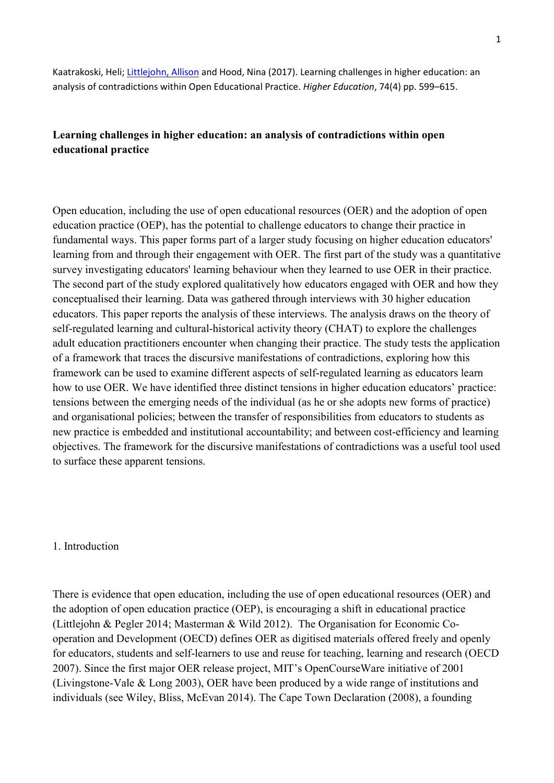Kaatrakoski, Heli; Littlejohn, Allison and Hood, Nina (2017). Learning challenges in higher education: an analysis of contradictions within Open Educational Practice. Higher Education, 74(4) pp. 599–615.

# Learning challenges in higher education: an analysis of contradictions within open educational practice

Open education, including the use of open educational resources (OER) and the adoption of open education practice (OEP), has the potential to challenge educators to change their practice in fundamental ways. This paper forms part of a larger study focusing on higher education educators' learning from and through their engagement with OER. The first part of the study was a quantitative survey investigating educators' learning behaviour when they learned to use OER in their practice. The second part of the study explored qualitatively how educators engaged with OER and how they conceptualised their learning. Data was gathered through interviews with 30 higher education educators. This paper reports the analysis of these interviews. The analysis draws on the theory of self-regulated learning and cultural-historical activity theory (CHAT) to explore the challenges adult education practitioners encounter when changing their practice. The study tests the application of a framework that traces the discursive manifestations of contradictions, exploring how this framework can be used to examine different aspects of self-regulated learning as educators learn how to use OER. We have identified three distinct tensions in higher education educators' practice: tensions between the emerging needs of the individual (as he or she adopts new forms of practice) and organisational policies; between the transfer of responsibilities from educators to students as new practice is embedded and institutional accountability; and between cost-efficiency and learning objectives. The framework for the discursive manifestations of contradictions was a useful tool used to surface these apparent tensions.

#### 1. Introduction

There is evidence that open education, including the use of open educational resources (OER) and the adoption of open education practice (OEP), is encouraging a shift in educational practice (Littlejohn & Pegler 2014; Masterman & Wild 2012). The Organisation for Economic Cooperation and Development (OECD) defines OER as digitised materials offered freely and openly for educators, students and self-learners to use and reuse for teaching, learning and research (OECD 2007). Since the first major OER release project, MIT's OpenCourseWare initiative of 2001 (Livingstone-Vale & Long 2003), OER have been produced by a wide range of institutions and individuals (see Wiley, Bliss, McEvan 2014). The Cape Town Declaration (2008), a founding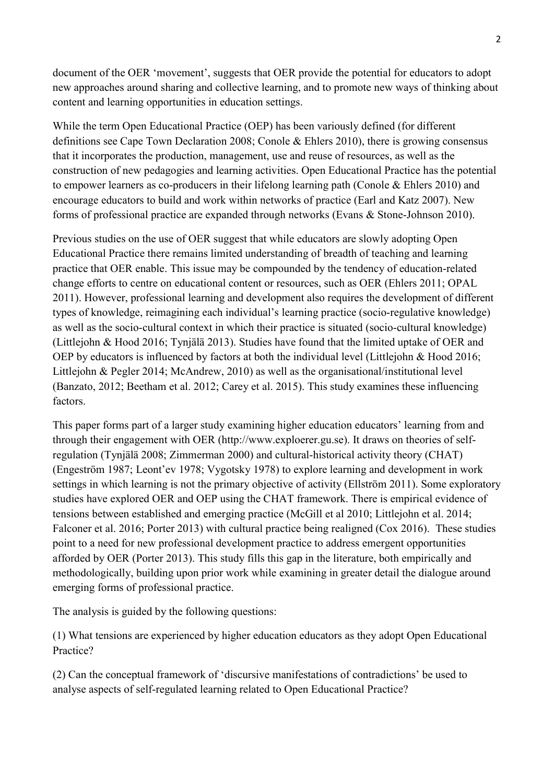document of the OER 'movement', suggests that OER provide the potential for educators to adopt new approaches around sharing and collective learning, and to promote new ways of thinking about content and learning opportunities in education settings.

While the term Open Educational Practice (OEP) has been variously defined (for different definitions see Cape Town Declaration 2008; Conole & Ehlers 2010), there is growing consensus that it incorporates the production, management, use and reuse of resources, as well as the construction of new pedagogies and learning activities. Open Educational Practice has the potential to empower learners as co-producers in their lifelong learning path (Conole & Ehlers 2010) and encourage educators to build and work within networks of practice (Earl and Katz 2007). New forms of professional practice are expanded through networks (Evans & Stone-Johnson 2010).

Previous studies on the use of OER suggest that while educators are slowly adopting Open Educational Practice there remains limited understanding of breadth of teaching and learning practice that OER enable. This issue may be compounded by the tendency of education-related change efforts to centre on educational content or resources, such as OER (Ehlers 2011; OPAL 2011). However, professional learning and development also requires the development of different types of knowledge, reimagining each individual's learning practice (socio-regulative knowledge) as well as the socio-cultural context in which their practice is situated (socio-cultural knowledge) (Littlejohn & Hood 2016; Tynjälä 2013). Studies have found that the limited uptake of OER and OEP by educators is influenced by factors at both the individual level (Littlejohn & Hood 2016; Littlejohn & Pegler 2014; McAndrew, 2010) as well as the organisational/institutional level (Banzato, 2012; Beetham et al. 2012; Carey et al. 2015). This study examines these influencing factors.

This paper forms part of a larger study examining higher education educators' learning from and through their engagement with OER (http://www.exploerer.gu.se). It draws on theories of selfregulation (Tynjälä 2008; Zimmerman 2000) and cultural-historical activity theory (CHAT) (Engeström 1987; Leont'ev 1978; Vygotsky 1978) to explore learning and development in work settings in which learning is not the primary objective of activity (Ellström 2011). Some exploratory studies have explored OER and OEP using the CHAT framework. There is empirical evidence of tensions between established and emerging practice (McGill et al 2010; Littlejohn et al. 2014; Falconer et al. 2016; Porter 2013) with cultural practice being realigned (Cox 2016). These studies point to a need for new professional development practice to address emergent opportunities afforded by OER (Porter 2013). This study fills this gap in the literature, both empirically and methodologically, building upon prior work while examining in greater detail the dialogue around emerging forms of professional practice.

The analysis is guided by the following questions:

(1) What tensions are experienced by higher education educators as they adopt Open Educational Practice?

(2) Can the conceptual framework of 'discursive manifestations of contradictions' be used to analyse aspects of self-regulated learning related to Open Educational Practice?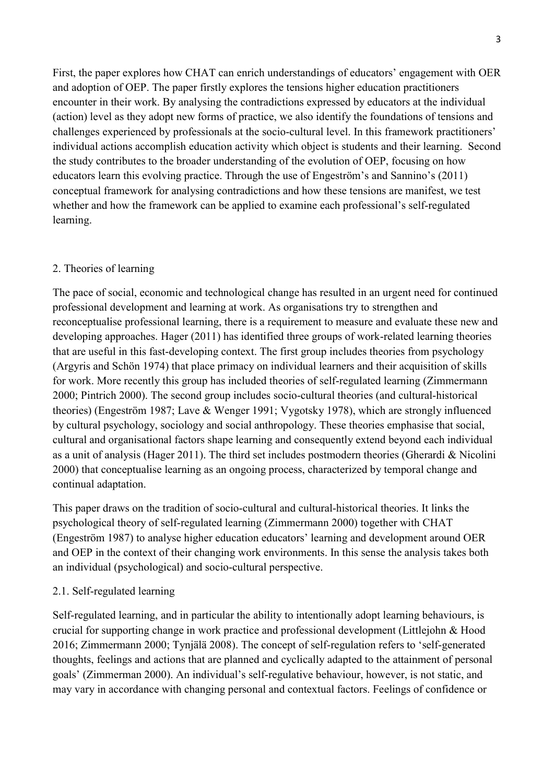First, the paper explores how CHAT can enrich understandings of educators' engagement with OER and adoption of OEP. The paper firstly explores the tensions higher education practitioners encounter in their work. By analysing the contradictions expressed by educators at the individual (action) level as they adopt new forms of practice, we also identify the foundations of tensions and challenges experienced by professionals at the socio-cultural level. In this framework practitioners' individual actions accomplish education activity which object is students and their learning. Second the study contributes to the broader understanding of the evolution of OEP, focusing on how educators learn this evolving practice. Through the use of Engeström's and Sannino's (2011) conceptual framework for analysing contradictions and how these tensions are manifest, we test whether and how the framework can be applied to examine each professional's self-regulated learning.

# 2. Theories of learning

The pace of social, economic and technological change has resulted in an urgent need for continued professional development and learning at work. As organisations try to strengthen and reconceptualise professional learning, there is a requirement to measure and evaluate these new and developing approaches. Hager (2011) has identified three groups of work-related learning theories that are useful in this fast-developing context. The first group includes theories from psychology (Argyris and Schön 1974) that place primacy on individual learners and their acquisition of skills for work. More recently this group has included theories of self-regulated learning (Zimmermann 2000; Pintrich 2000). The second group includes socio-cultural theories (and cultural-historical theories) (Engeström 1987; Lave & Wenger 1991; Vygotsky 1978), which are strongly influenced by cultural psychology, sociology and social anthropology. These theories emphasise that social, cultural and organisational factors shape learning and consequently extend beyond each individual as a unit of analysis (Hager 2011). The third set includes postmodern theories (Gherardi & Nicolini 2000) that conceptualise learning as an ongoing process, characterized by temporal change and continual adaptation.

This paper draws on the tradition of socio-cultural and cultural-historical theories. It links the psychological theory of self-regulated learning (Zimmermann 2000) together with CHAT (Engeström 1987) to analyse higher education educators' learning and development around OER and OEP in the context of their changing work environments. In this sense the analysis takes both an individual (psychological) and socio-cultural perspective.

# 2.1. Self-regulated learning

Self-regulated learning, and in particular the ability to intentionally adopt learning behaviours, is crucial for supporting change in work practice and professional development (Littlejohn & Hood 2016; Zimmermann 2000; Tynjälä 2008). The concept of self-regulation refers to 'self-generated thoughts, feelings and actions that are planned and cyclically adapted to the attainment of personal goals' (Zimmerman 2000). An individual's self-regulative behaviour, however, is not static, and may vary in accordance with changing personal and contextual factors. Feelings of confidence or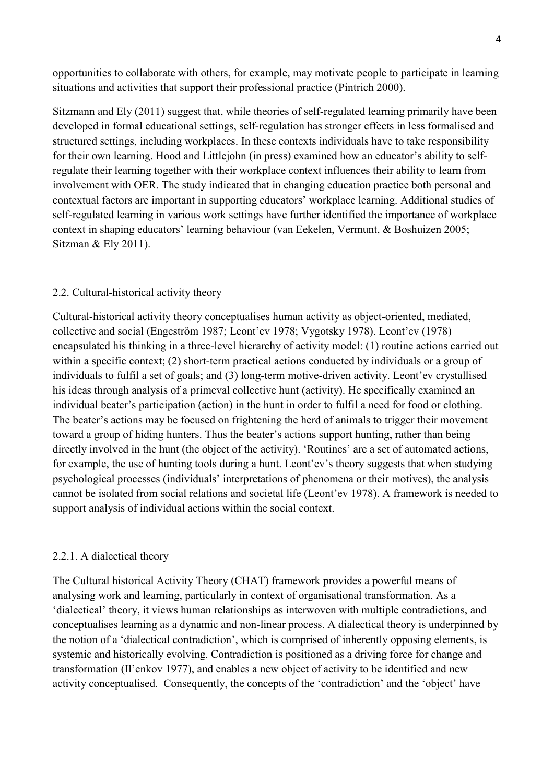opportunities to collaborate with others, for example, may motivate people to participate in learning situations and activities that support their professional practice (Pintrich 2000).

Sitzmann and Ely (2011) suggest that, while theories of self-regulated learning primarily have been developed in formal educational settings, self-regulation has stronger effects in less formalised and structured settings, including workplaces. In these contexts individuals have to take responsibility for their own learning. Hood and Littlejohn (in press) examined how an educator's ability to selfregulate their learning together with their workplace context influences their ability to learn from involvement with OER. The study indicated that in changing education practice both personal and contextual factors are important in supporting educators' workplace learning. Additional studies of self-regulated learning in various work settings have further identified the importance of workplace context in shaping educators' learning behaviour (van Eekelen, Vermunt, & Boshuizen 2005; Sitzman & Ely 2011).

### 2.2. Cultural-historical activity theory

Cultural-historical activity theory conceptualises human activity as object-oriented, mediated, collective and social (Engeström 1987; Leont'ev 1978; Vygotsky 1978). Leont'ev (1978) encapsulated his thinking in a three-level hierarchy of activity model: (1) routine actions carried out within a specific context; (2) short-term practical actions conducted by individuals or a group of individuals to fulfil a set of goals; and (3) long-term motive-driven activity. Leont'ev crystallised his ideas through analysis of a primeval collective hunt (activity). He specifically examined an individual beater's participation (action) in the hunt in order to fulfil a need for food or clothing. The beater's actions may be focused on frightening the herd of animals to trigger their movement toward a group of hiding hunters. Thus the beater's actions support hunting, rather than being directly involved in the hunt (the object of the activity). 'Routines' are a set of automated actions, for example, the use of hunting tools during a hunt. Leont'ev's theory suggests that when studying psychological processes (individuals' interpretations of phenomena or their motives), the analysis cannot be isolated from social relations and societal life (Leont'ev 1978). A framework is needed to support analysis of individual actions within the social context.

#### 2.2.1. A dialectical theory

The Cultural historical Activity Theory (CHAT) framework provides a powerful means of analysing work and learning, particularly in context of organisational transformation. As a 'dialectical' theory, it views human relationships as interwoven with multiple contradictions, and conceptualises learning as a dynamic and non-linear process. A dialectical theory is underpinned by the notion of a 'dialectical contradiction', which is comprised of inherently opposing elements, is systemic and historically evolving. Contradiction is positioned as a driving force for change and transformation (Il'enkov 1977), and enables a new object of activity to be identified and new activity conceptualised. Consequently, the concepts of the 'contradiction' and the 'object' have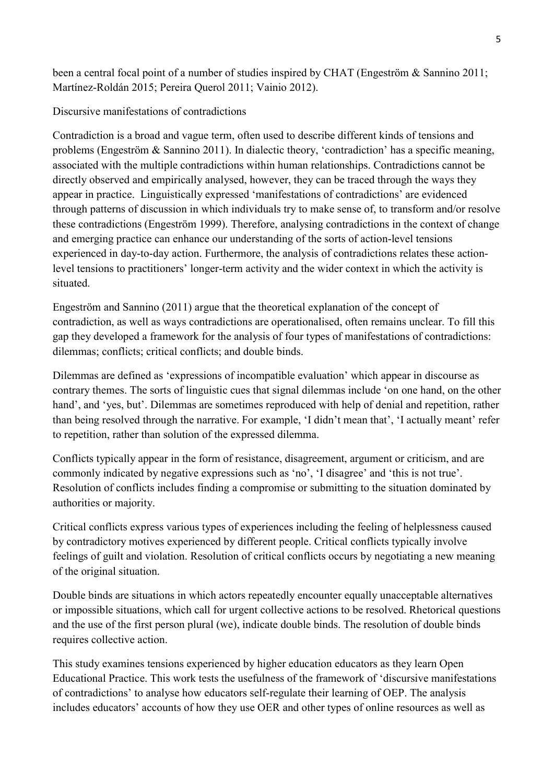been a central focal point of a number of studies inspired by CHAT (Engeström & Sannino 2011; Martínez-Roldán 2015; Pereira Querol 2011; Vainio 2012).

Discursive manifestations of contradictions

Contradiction is a broad and vague term, often used to describe different kinds of tensions and problems (Engeström & Sannino 2011). In dialectic theory, 'contradiction' has a specific meaning, associated with the multiple contradictions within human relationships. Contradictions cannot be directly observed and empirically analysed, however, they can be traced through the ways they appear in practice. Linguistically expressed 'manifestations of contradictions' are evidenced through patterns of discussion in which individuals try to make sense of, to transform and/or resolve these contradictions (Engeström 1999). Therefore, analysing contradictions in the context of change and emerging practice can enhance our understanding of the sorts of action-level tensions experienced in day-to-day action. Furthermore, the analysis of contradictions relates these actionlevel tensions to practitioners' longer-term activity and the wider context in which the activity is situated.

Engeström and Sannino (2011) argue that the theoretical explanation of the concept of contradiction, as well as ways contradictions are operationalised, often remains unclear. To fill this gap they developed a framework for the analysis of four types of manifestations of contradictions: dilemmas; conflicts; critical conflicts; and double binds.

Dilemmas are defined as 'expressions of incompatible evaluation' which appear in discourse as contrary themes. The sorts of linguistic cues that signal dilemmas include 'on one hand, on the other hand', and 'yes, but'. Dilemmas are sometimes reproduced with help of denial and repetition, rather than being resolved through the narrative. For example, 'I didn't mean that', 'I actually meant' refer to repetition, rather than solution of the expressed dilemma.

Conflicts typically appear in the form of resistance, disagreement, argument or criticism, and are commonly indicated by negative expressions such as 'no', 'I disagree' and 'this is not true'. Resolution of conflicts includes finding a compromise or submitting to the situation dominated by authorities or majority.

Critical conflicts express various types of experiences including the feeling of helplessness caused by contradictory motives experienced by different people. Critical conflicts typically involve feelings of guilt and violation. Resolution of critical conflicts occurs by negotiating a new meaning of the original situation.

Double binds are situations in which actors repeatedly encounter equally unacceptable alternatives or impossible situations, which call for urgent collective actions to be resolved. Rhetorical questions and the use of the first person plural (we), indicate double binds. The resolution of double binds requires collective action.

This study examines tensions experienced by higher education educators as they learn Open Educational Practice. This work tests the usefulness of the framework of 'discursive manifestations of contradictions' to analyse how educators self-regulate their learning of OEP. The analysis includes educators' accounts of how they use OER and other types of online resources as well as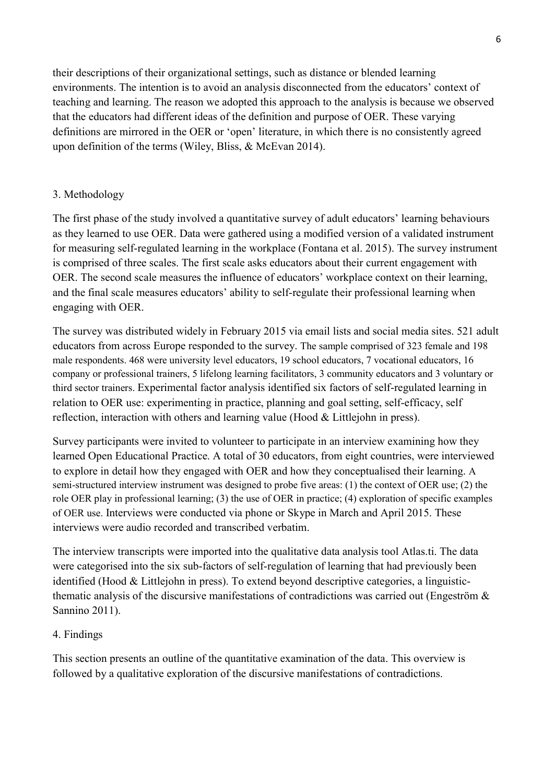their descriptions of their organizational settings, such as distance or blended learning environments. The intention is to avoid an analysis disconnected from the educators' context of teaching and learning. The reason we adopted this approach to the analysis is because we observed that the educators had different ideas of the definition and purpose of OER. These varying definitions are mirrored in the OER or 'open' literature, in which there is no consistently agreed upon definition of the terms (Wiley, Bliss, & McEvan 2014).

#### 3. Methodology

The first phase of the study involved a quantitative survey of adult educators' learning behaviours as they learned to use OER. Data were gathered using a modified version of a validated instrument for measuring self-regulated learning in the workplace (Fontana et al. 2015). The survey instrument is comprised of three scales. The first scale asks educators about their current engagement with OER. The second scale measures the influence of educators' workplace context on their learning, and the final scale measures educators' ability to self-regulate their professional learning when engaging with OER.

The survey was distributed widely in February 2015 via email lists and social media sites. 521 adult educators from across Europe responded to the survey. The sample comprised of 323 female and 198 male respondents. 468 were university level educators, 19 school educators, 7 vocational educators, 16 company or professional trainers, 5 lifelong learning facilitators, 3 community educators and 3 voluntary or third sector trainers. Experimental factor analysis identified six factors of self-regulated learning in relation to OER use: experimenting in practice, planning and goal setting, self-efficacy, self reflection, interaction with others and learning value (Hood & Littlejohn in press).

Survey participants were invited to volunteer to participate in an interview examining how they learned Open Educational Practice. A total of 30 educators, from eight countries, were interviewed to explore in detail how they engaged with OER and how they conceptualised their learning. A semi-structured interview instrument was designed to probe five areas: (1) the context of OER use; (2) the role OER play in professional learning; (3) the use of OER in practice; (4) exploration of specific examples of OER use. Interviews were conducted via phone or Skype in March and April 2015. These interviews were audio recorded and transcribed verbatim.

The interview transcripts were imported into the qualitative data analysis tool Atlas.ti. The data were categorised into the six sub-factors of self-regulation of learning that had previously been identified (Hood & Littlejohn in press). To extend beyond descriptive categories, a linguisticthematic analysis of the discursive manifestations of contradictions was carried out (Engeström & Sannino 2011).

#### 4. Findings

This section presents an outline of the quantitative examination of the data. This overview is followed by a qualitative exploration of the discursive manifestations of contradictions.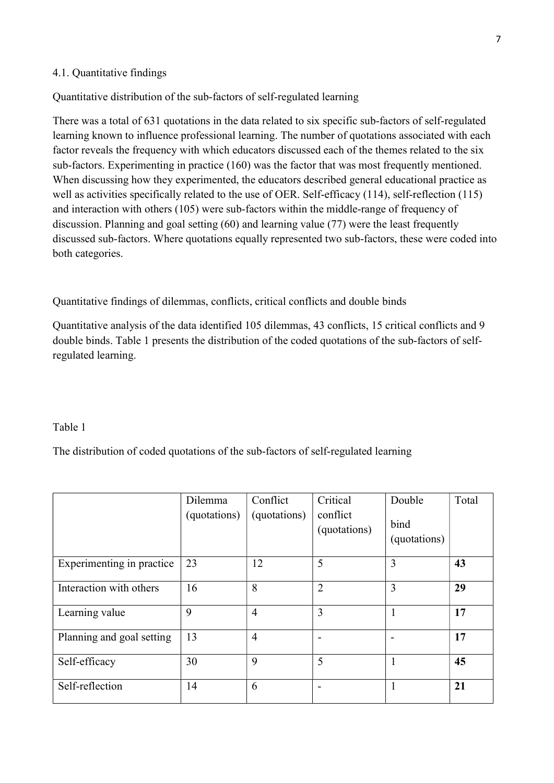#### 4.1. Quantitative findings

Quantitative distribution of the sub-factors of self-regulated learning

There was a total of 631 quotations in the data related to six specific sub-factors of self-regulated learning known to influence professional learning. The number of quotations associated with each factor reveals the frequency with which educators discussed each of the themes related to the six sub-factors. Experimenting in practice (160) was the factor that was most frequently mentioned. When discussing how they experimented, the educators described general educational practice as well as activities specifically related to the use of OER. Self-efficacy (114), self-reflection (115) and interaction with others (105) were sub-factors within the middle-range of frequency of discussion. Planning and goal setting (60) and learning value (77) were the least frequently discussed sub-factors. Where quotations equally represented two sub-factors, these were coded into both categories.

Quantitative findings of dilemmas, conflicts, critical conflicts and double binds

Quantitative analysis of the data identified 105 dilemmas, 43 conflicts, 15 critical conflicts and 9 double binds. Table 1 presents the distribution of the coded quotations of the sub-factors of selfregulated learning.

#### Table 1

The distribution of coded quotations of the sub-factors of self-regulated learning

|                           | Dilemma<br>(quotations) | Conflict<br>(quotations) | Critical<br>conflict<br>(quotations) | Double<br>bind<br>(quotations) | Total |
|---------------------------|-------------------------|--------------------------|--------------------------------------|--------------------------------|-------|
| Experimenting in practice | 23                      | 12                       | 5                                    | 3                              | 43    |
| Interaction with others   | 16                      | 8                        | $\overline{2}$                       | 3                              | 29    |
| Learning value            | 9                       | $\overline{4}$           | $\overline{3}$                       |                                | 17    |
| Planning and goal setting | 13                      | $\overline{4}$           |                                      |                                | 17    |
| Self-efficacy             | 30                      | 9                        | 5                                    | $\mathbf{1}$                   | 45    |
| Self-reflection           | 14                      | 6                        | -                                    |                                | 21    |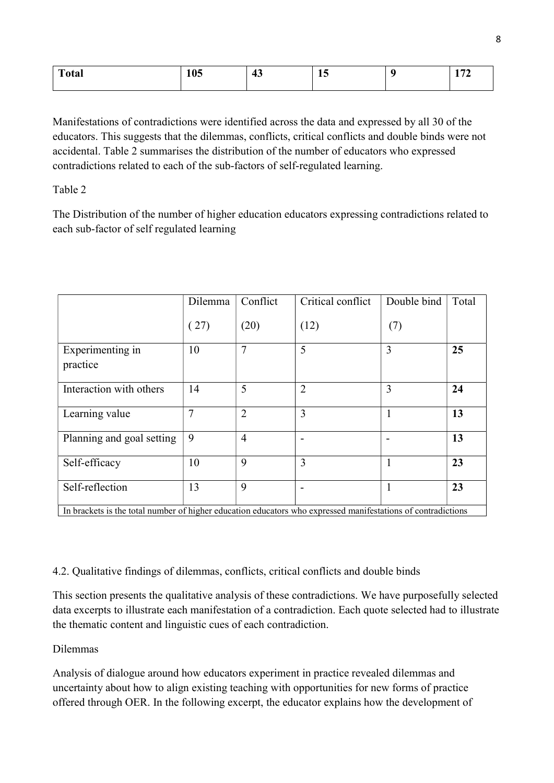| m.<br><b>Total</b> | $\mathbf{A}$<br>1 U.J | $\overline{A}$<br>Λ<br>ு | ⊥◡ | . . |
|--------------------|-----------------------|--------------------------|----|-----|
|                    |                       |                          |    |     |

Manifestations of contradictions were identified across the data and expressed by all 30 of the educators. This suggests that the dilemmas, conflicts, critical conflicts and double binds were not accidental. Table 2 summarises the distribution of the number of educators who expressed contradictions related to each of the sub-factors of self-regulated learning.

# Table 2

The Distribution of the number of higher education educators expressing contradictions related to each sub-factor of self regulated learning

|                                                                                                              | Dilemma | Conflict       | Critical conflict | Double bind  | Total |  |
|--------------------------------------------------------------------------------------------------------------|---------|----------------|-------------------|--------------|-------|--|
|                                                                                                              | (27)    | (20)           | (12)              | (7)          |       |  |
| Experimenting in                                                                                             | 10      | 7              | 5                 | 3            | 25    |  |
| practice                                                                                                     |         |                |                   |              |       |  |
| Interaction with others                                                                                      | 14      | 5              | $\overline{2}$    | 3            | 24    |  |
| Learning value                                                                                               | 7       | $\overline{2}$ | 3                 | 1            | 13    |  |
| Planning and goal setting                                                                                    | 9       | $\overline{4}$ |                   |              | 13    |  |
| Self-efficacy                                                                                                | 10      | 9              | 3                 | 1            | 23    |  |
| Self-reflection                                                                                              | 13      | 9              |                   | $\mathbf{1}$ | 23    |  |
| In brackets is the total number of higher education educators who expressed manifestations of contradictions |         |                |                   |              |       |  |

# 4.2. Qualitative findings of dilemmas, conflicts, critical conflicts and double binds

This section presents the qualitative analysis of these contradictions. We have purposefully selected data excerpts to illustrate each manifestation of a contradiction. Each quote selected had to illustrate the thematic content and linguistic cues of each contradiction.

# Dilemmas

Analysis of dialogue around how educators experiment in practice revealed dilemmas and uncertainty about how to align existing teaching with opportunities for new forms of practice offered through OER. In the following excerpt, the educator explains how the development of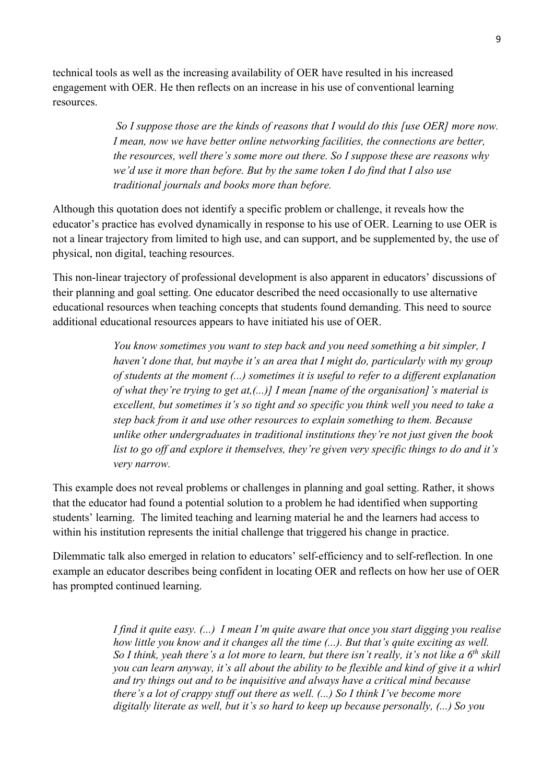technical tools as well as the increasing availability of OER have resulted in his increased engagement with OER. He then reflects on an increase in his use of conventional learning resources.

> So I suppose those are the kinds of reasons that I would do this [use OER] more now. I mean, now we have better online networking facilities, the connections are better, the resources, well there's some more out there. So I suppose these are reasons why we'd use it more than before. But by the same token I do find that I also use traditional journals and books more than before.

Although this quotation does not identify a specific problem or challenge, it reveals how the educator's practice has evolved dynamically in response to his use of OER. Learning to use OER is not a linear trajectory from limited to high use, and can support, and be supplemented by, the use of physical, non digital, teaching resources.

This non-linear trajectory of professional development is also apparent in educators' discussions of their planning and goal setting. One educator described the need occasionally to use alternative educational resources when teaching concepts that students found demanding. This need to source additional educational resources appears to have initiated his use of OER.

> You know sometimes you want to step back and you need something a bit simpler, I haven't done that, but maybe it's an area that I might do, particularly with my group of students at the moment (...) sometimes it is useful to refer to a different explanation of what they're trying to get at,(...)] I mean [name of the organisation]'s material is excellent, but sometimes it's so tight and so specific you think well you need to take a step back from it and use other resources to explain something to them. Because unlike other undergraduates in traditional institutions they're not just given the book list to go off and explore it themselves, they're given very specific things to do and it's very narrow.

This example does not reveal problems or challenges in planning and goal setting. Rather, it shows that the educator had found a potential solution to a problem he had identified when supporting students' learning. The limited teaching and learning material he and the learners had access to within his institution represents the initial challenge that triggered his change in practice.

Dilemmatic talk also emerged in relation to educators' self-efficiency and to self-reflection. In one example an educator describes being confident in locating OER and reflects on how her use of OER has prompted continued learning.

> I find it quite easy.  $(...)$  I mean I'm quite aware that once you start digging you realise how little you know and it changes all the time (...). But that's quite exciting as well. So I think, yeah there's a lot more to learn, but there isn't really, it's not like a  $6<sup>th</sup>$  skill you can learn anyway, it's all about the ability to be flexible and kind of give it a whirl and try things out and to be inquisitive and always have a critical mind because there's a lot of crappy stuff out there as well. (...) So I think I've become more digitally literate as well, but it's so hard to keep up because personally, (...) So you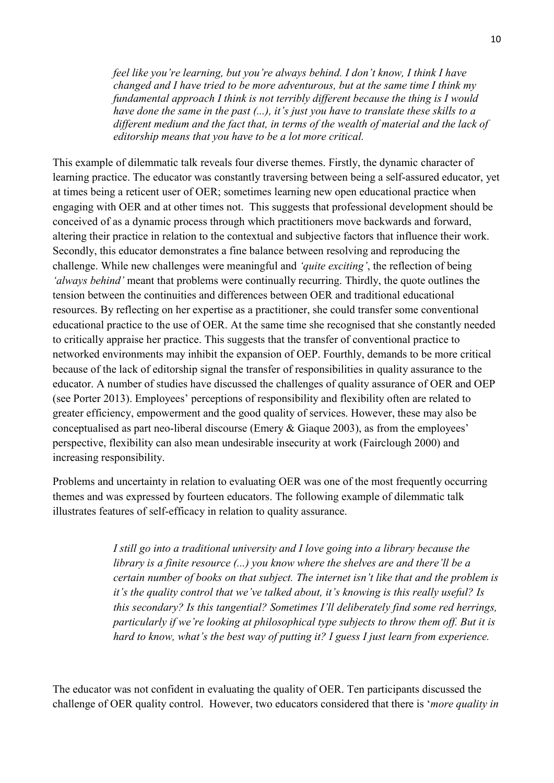feel like you're learning, but you're always behind. I don't know, I think I have changed and I have tried to be more adventurous, but at the same time I think my fundamental approach I think is not terribly different because the thing is I would have done the same in the past (...), it's just you have to translate these skills to a different medium and the fact that, in terms of the wealth of material and the lack of editorship means that you have to be a lot more critical.

This example of dilemmatic talk reveals four diverse themes. Firstly, the dynamic character of learning practice. The educator was constantly traversing between being a self-assured educator, yet at times being a reticent user of OER; sometimes learning new open educational practice when engaging with OER and at other times not. This suggests that professional development should be conceived of as a dynamic process through which practitioners move backwards and forward, altering their practice in relation to the contextual and subjective factors that influence their work. Secondly, this educator demonstrates a fine balance between resolving and reproducing the challenge. While new challenges were meaningful and 'quite exciting', the reflection of being 'always behind' meant that problems were continually recurring. Thirdly, the quote outlines the tension between the continuities and differences between OER and traditional educational resources. By reflecting on her expertise as a practitioner, she could transfer some conventional educational practice to the use of OER. At the same time she recognised that she constantly needed to critically appraise her practice. This suggests that the transfer of conventional practice to networked environments may inhibit the expansion of OEP. Fourthly, demands to be more critical because of the lack of editorship signal the transfer of responsibilities in quality assurance to the educator. A number of studies have discussed the challenges of quality assurance of OER and OEP (see Porter 2013). Employees' perceptions of responsibility and flexibility often are related to greater efficiency, empowerment and the good quality of services. However, these may also be conceptualised as part neo-liberal discourse (Emery & Giaque 2003), as from the employees' perspective, flexibility can also mean undesirable insecurity at work (Fairclough 2000) and increasing responsibility.

Problems and uncertainty in relation to evaluating OER was one of the most frequently occurring themes and was expressed by fourteen educators. The following example of dilemmatic talk illustrates features of self-efficacy in relation to quality assurance.

> I still go into a traditional university and I love going into a library because the library is a finite resource (...) you know where the shelves are and there'll be a certain number of books on that subject. The internet isn't like that and the problem is it's the quality control that we've talked about, it's knowing is this really useful? Is this secondary? Is this tangential? Sometimes I'll deliberately find some red herrings, particularly if we're looking at philosophical type subjects to throw them off. But it is hard to know, what's the best way of putting it? I guess I just learn from experience.

The educator was not confident in evaluating the quality of OER. Ten participants discussed the challenge of OER quality control. However, two educators considered that there is 'more quality in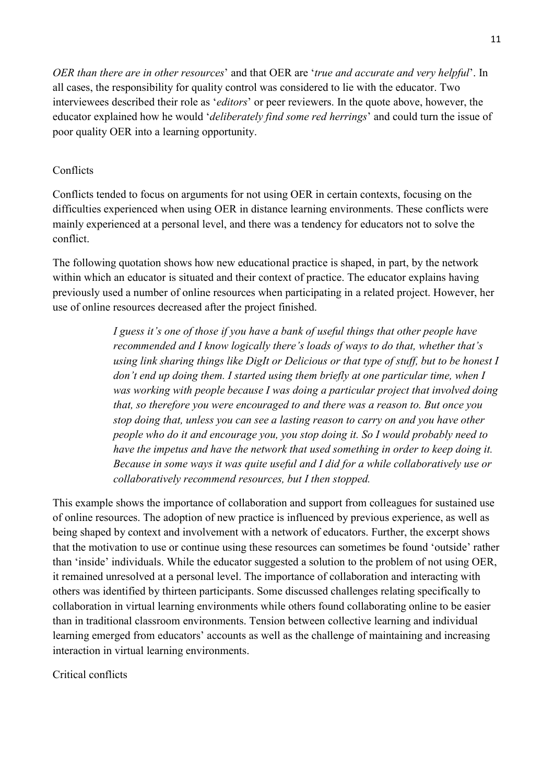OER than there are in other resources' and that OER are 'true and accurate and very helpful'. In all cases, the responsibility for quality control was considered to lie with the educator. Two interviewees described their role as 'editors' or peer reviewers. In the quote above, however, the educator explained how he would 'deliberately find some red herrings' and could turn the issue of poor quality OER into a learning opportunity.

# **Conflicts**

Conflicts tended to focus on arguments for not using OER in certain contexts, focusing on the difficulties experienced when using OER in distance learning environments. These conflicts were mainly experienced at a personal level, and there was a tendency for educators not to solve the conflict.

The following quotation shows how new educational practice is shaped, in part, by the network within which an educator is situated and their context of practice. The educator explains having previously used a number of online resources when participating in a related project. However, her use of online resources decreased after the project finished.

> I guess it's one of those if you have a bank of useful things that other people have recommended and I know logically there's loads of ways to do that, whether that's using link sharing things like DigIt or Delicious or that type of stuff, but to be honest I don't end up doing them. I started using them briefly at one particular time, when I was working with people because I was doing a particular project that involved doing that, so therefore you were encouraged to and there was a reason to. But once you stop doing that, unless you can see a lasting reason to carry on and you have other people who do it and encourage you, you stop doing it. So I would probably need to have the impetus and have the network that used something in order to keep doing it. Because in some ways it was quite useful and I did for a while collaboratively use or collaboratively recommend resources, but I then stopped.

This example shows the importance of collaboration and support from colleagues for sustained use of online resources. The adoption of new practice is influenced by previous experience, as well as being shaped by context and involvement with a network of educators. Further, the excerpt shows that the motivation to use or continue using these resources can sometimes be found 'outside' rather than 'inside' individuals. While the educator suggested a solution to the problem of not using OER, it remained unresolved at a personal level. The importance of collaboration and interacting with others was identified by thirteen participants. Some discussed challenges relating specifically to collaboration in virtual learning environments while others found collaborating online to be easier than in traditional classroom environments. Tension between collective learning and individual learning emerged from educators' accounts as well as the challenge of maintaining and increasing interaction in virtual learning environments.

Critical conflicts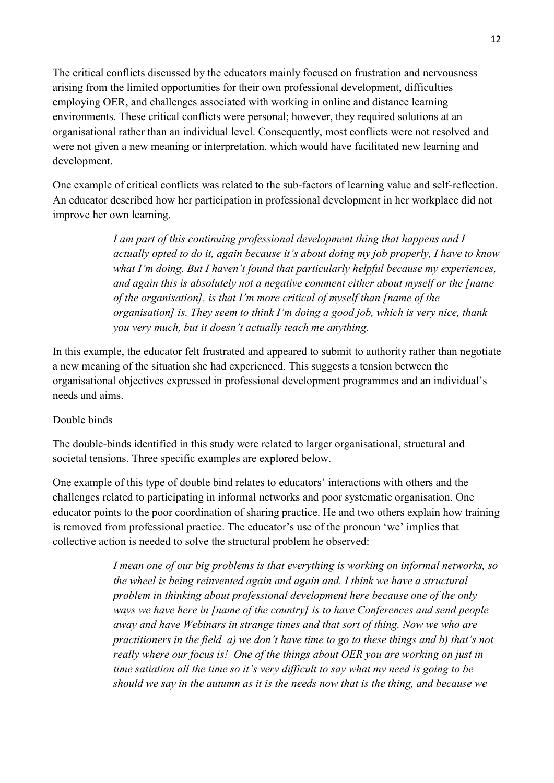The critical conflicts discussed by the educators mainly focused on frustration and nervousness arising from the limited opportunities for their own professional development, difficulties employing OER, and challenges associated with working in online and distance learning environments. These critical conflicts were personal; however, they required solutions at an organisational rather than an individual level. Consequently, most conflicts were not resolved and were not given a new meaning or interpretation, which would have facilitated new learning and development.

One example of critical conflicts was related to the sub-factors of learning value and self-reflection. An educator described how her participation in professional development in her workplace did not improve her own learning.

> I am part of this continuing professional development thing that happens and I actually opted to do it, again because it's about doing my job properly, I have to know what I'm doing. But I haven't found that particularly helpful because my experiences, and again this is absolutely not a negative comment either about myself or the [name of the organisation], is that I'm more critical of myself than [name of the organisation] is. They seem to think I'm doing a good job, which is very nice, thank you very much, but it doesn't actually teach me anything.

In this example, the educator felt frustrated and appeared to submit to authority rather than negotiate a new meaning of the situation she had experienced. This suggests a tension between the organisational objectives expressed in professional development programmes and an individual's needs and aims.

#### Double binds

The double-binds identified in this study were related to larger organisational, structural and societal tensions. Three specific examples are explored below.

One example of this type of double bind relates to educators' interactions with others and the challenges related to participating in informal networks and poor systematic organisation. One educator points to the poor coordination of sharing practice. He and two others explain how training is removed from professional practice. The educator's use of the pronoun 'we' implies that collective action is needed to solve the structural problem he observed:

> I mean one of our big problems is that everything is working on informal networks, so the wheel is being reinvented again and again and. I think we have a structural problem in thinking about professional development here because one of the only ways we have here in [name of the country] is to have Conferences and send people away and have Webinars in strange times and that sort of thing. Now we who are practitioners in the field a) we don't have time to go to these things and b) that's not really where our focus is! One of the things about OER you are working on just in time satiation all the time so it's very difficult to say what my need is going to be should we say in the autumn as it is the needs now that is the thing, and because we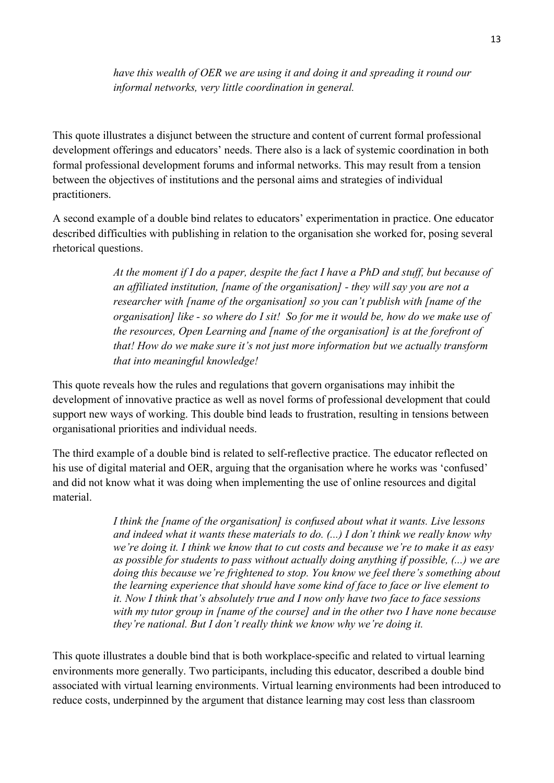have this wealth of OER we are using it and doing it and spreading it round our informal networks, very little coordination in general.

This quote illustrates a disjunct between the structure and content of current formal professional development offerings and educators' needs. There also is a lack of systemic coordination in both formal professional development forums and informal networks. This may result from a tension between the objectives of institutions and the personal aims and strategies of individual practitioners.

A second example of a double bind relates to educators' experimentation in practice. One educator described difficulties with publishing in relation to the organisation she worked for, posing several rhetorical questions.

> At the moment if I do a paper, despite the fact I have a PhD and stuff, but because of an affiliated institution, [name of the organisation] - they will say you are not a researcher with [name of the organisation] so you can't publish with [name of the organisation] like - so where do I sit! So for me it would be, how do we make use of the resources, Open Learning and [name of the organisation] is at the forefront of that! How do we make sure it's not just more information but we actually transform that into meaningful knowledge!

This quote reveals how the rules and regulations that govern organisations may inhibit the development of innovative practice as well as novel forms of professional development that could support new ways of working. This double bind leads to frustration, resulting in tensions between organisational priorities and individual needs.

The third example of a double bind is related to self-reflective practice. The educator reflected on his use of digital material and OER, arguing that the organisation where he works was 'confused' and did not know what it was doing when implementing the use of online resources and digital material.

> I think the [name of the organisation] is confused about what it wants. Live lessons and indeed what it wants these materials to do. (...) I don't think we really know why we're doing it. I think we know that to cut costs and because we're to make it as easy as possible for students to pass without actually doing anything if possible, (...) we are doing this because we're frightened to stop. You know we feel there's something about the learning experience that should have some kind of face to face or live element to it. Now I think that's absolutely true and I now only have two face to face sessions with my tutor group in [name of the course] and in the other two I have none because they're national. But I don't really think we know why we're doing it.

This quote illustrates a double bind that is both workplace-specific and related to virtual learning environments more generally. Two participants, including this educator, described a double bind associated with virtual learning environments. Virtual learning environments had been introduced to reduce costs, underpinned by the argument that distance learning may cost less than classroom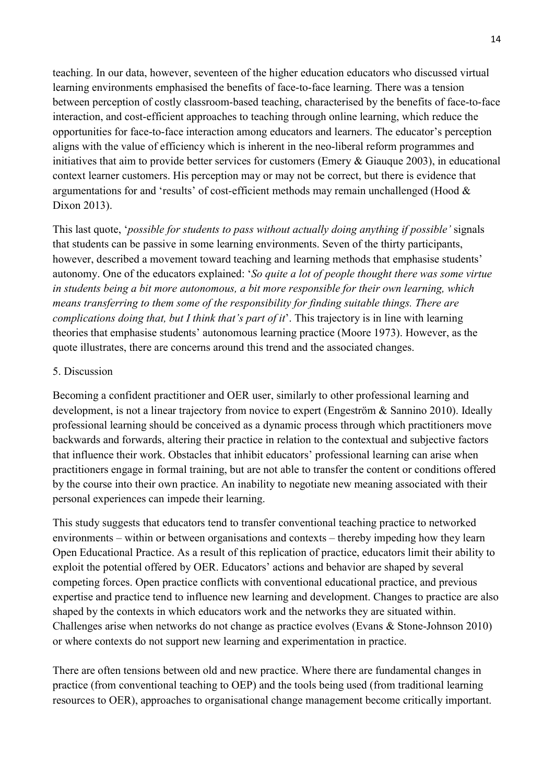teaching. In our data, however, seventeen of the higher education educators who discussed virtual learning environments emphasised the benefits of face-to-face learning. There was a tension between perception of costly classroom-based teaching, characterised by the benefits of face-to-face interaction, and cost-efficient approaches to teaching through online learning, which reduce the opportunities for face-to-face interaction among educators and learners. The educator's perception aligns with the value of efficiency which is inherent in the neo-liberal reform programmes and initiatives that aim to provide better services for customers (Emery & Giauque 2003), in educational context learner customers. His perception may or may not be correct, but there is evidence that argumentations for and 'results' of cost-efficient methods may remain unchallenged (Hood & Dixon 2013).

This last quote, 'possible for students to pass without actually doing anything if possible' signals that students can be passive in some learning environments. Seven of the thirty participants, however, described a movement toward teaching and learning methods that emphasise students' autonomy. One of the educators explained: 'So quite a lot of people thought there was some virtue in students being a bit more autonomous, a bit more responsible for their own learning, which means transferring to them some of the responsibility for finding suitable things. There are complications doing that, but I think that's part of it'. This trajectory is in line with learning theories that emphasise students' autonomous learning practice (Moore 1973). However, as the quote illustrates, there are concerns around this trend and the associated changes.

#### 5. Discussion

Becoming a confident practitioner and OER user, similarly to other professional learning and development, is not a linear trajectory from novice to expert (Engeström & Sannino 2010). Ideally professional learning should be conceived as a dynamic process through which practitioners move backwards and forwards, altering their practice in relation to the contextual and subjective factors that influence their work. Obstacles that inhibit educators' professional learning can arise when practitioners engage in formal training, but are not able to transfer the content or conditions offered by the course into their own practice. An inability to negotiate new meaning associated with their personal experiences can impede their learning.

This study suggests that educators tend to transfer conventional teaching practice to networked environments – within or between organisations and contexts – thereby impeding how they learn Open Educational Practice. As a result of this replication of practice, educators limit their ability to exploit the potential offered by OER. Educators' actions and behavior are shaped by several competing forces. Open practice conflicts with conventional educational practice, and previous expertise and practice tend to influence new learning and development. Changes to practice are also shaped by the contexts in which educators work and the networks they are situated within. Challenges arise when networks do not change as practice evolves (Evans & Stone-Johnson 2010) or where contexts do not support new learning and experimentation in practice.

There are often tensions between old and new practice. Where there are fundamental changes in practice (from conventional teaching to OEP) and the tools being used (from traditional learning resources to OER), approaches to organisational change management become critically important.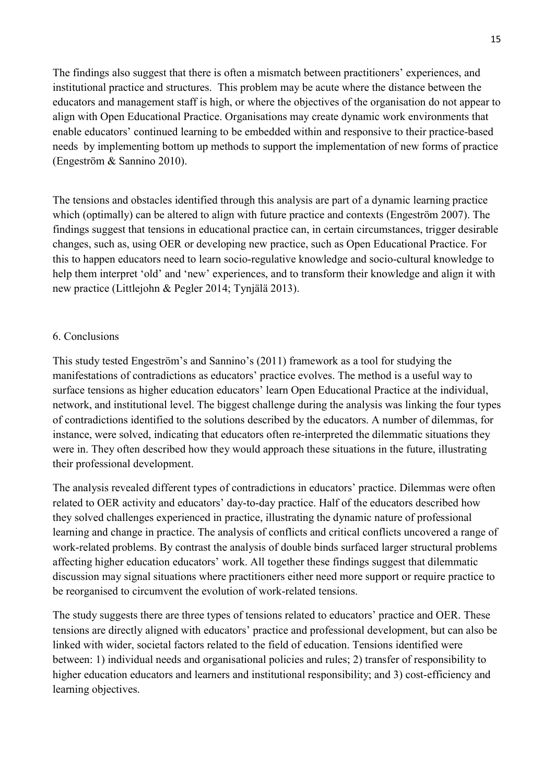The findings also suggest that there is often a mismatch between practitioners' experiences, and institutional practice and structures. This problem may be acute where the distance between the educators and management staff is high, or where the objectives of the organisation do not appear to align with Open Educational Practice. Organisations may create dynamic work environments that enable educators' continued learning to be embedded within and responsive to their practice-based needs by implementing bottom up methods to support the implementation of new forms of practice (Engeström & Sannino 2010).

The tensions and obstacles identified through this analysis are part of a dynamic learning practice which (optimally) can be altered to align with future practice and contexts (Engeström 2007). The findings suggest that tensions in educational practice can, in certain circumstances, trigger desirable changes, such as, using OER or developing new practice, such as Open Educational Practice. For this to happen educators need to learn socio-regulative knowledge and socio-cultural knowledge to help them interpret 'old' and 'new' experiences, and to transform their knowledge and align it with new practice (Littlejohn & Pegler 2014; Tynjälä 2013).

# 6. Conclusions

This study tested Engeström's and Sannino's (2011) framework as a tool for studying the manifestations of contradictions as educators' practice evolves. The method is a useful way to surface tensions as higher education educators' learn Open Educational Practice at the individual, network, and institutional level. The biggest challenge during the analysis was linking the four types of contradictions identified to the solutions described by the educators. A number of dilemmas, for instance, were solved, indicating that educators often re-interpreted the dilemmatic situations they were in. They often described how they would approach these situations in the future, illustrating their professional development.

The analysis revealed different types of contradictions in educators' practice. Dilemmas were often related to OER activity and educators' day-to-day practice. Half of the educators described how they solved challenges experienced in practice, illustrating the dynamic nature of professional learning and change in practice. The analysis of conflicts and critical conflicts uncovered a range of work-related problems. By contrast the analysis of double binds surfaced larger structural problems affecting higher education educators' work. All together these findings suggest that dilemmatic discussion may signal situations where practitioners either need more support or require practice to be reorganised to circumvent the evolution of work-related tensions.

The study suggests there are three types of tensions related to educators' practice and OER. These tensions are directly aligned with educators' practice and professional development, but can also be linked with wider, societal factors related to the field of education. Tensions identified were between: 1) individual needs and organisational policies and rules; 2) transfer of responsibility to higher education educators and learners and institutional responsibility; and 3) cost-efficiency and learning objectives.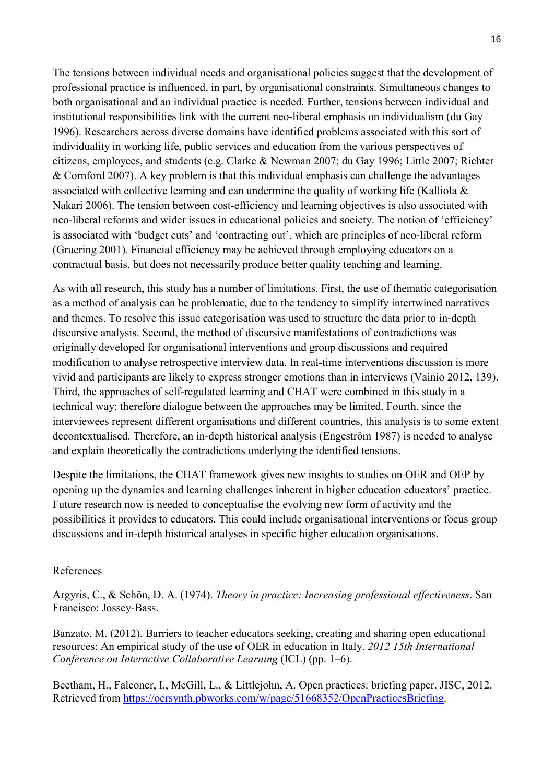The tensions between individual needs and organisational policies suggest that the development of professional practice is influenced, in part, by organisational constraints. Simultaneous changes to both organisational and an individual practice is needed. Further, tensions between individual and institutional responsibilities link with the current neo-liberal emphasis on individualism (du Gay 1996). Researchers across diverse domains have identified problems associated with this sort of individuality in working life, public services and education from the various perspectives of citizens, employees, and students (e.g. Clarke & Newman 2007; du Gay 1996; Little 2007; Richter & Cornford 2007). A key problem is that this individual emphasis can challenge the advantages associated with collective learning and can undermine the quality of working life (Kalliola  $\&$ Nakari 2006). The tension between cost-efficiency and learning objectives is also associated with neo-liberal reforms and wider issues in educational policies and society. The notion of 'efficiency' is associated with 'budget cuts' and 'contracting out', which are principles of neo-liberal reform (Gruering 2001). Financial efficiency may be achieved through employing educators on a contractual basis, but does not necessarily produce better quality teaching and learning.

As with all research, this study has a number of limitations. First, the use of thematic categorisation as a method of analysis can be problematic, due to the tendency to simplify intertwined narratives and themes. To resolve this issue categorisation was used to structure the data prior to in-depth discursive analysis. Second, the method of discursive manifestations of contradictions was originally developed for organisational interventions and group discussions and required modification to analyse retrospective interview data. In real-time interventions discussion is more vivid and participants are likely to express stronger emotions than in interviews (Vainio 2012, 139). Third, the approaches of self-regulated learning and CHAT were combined in this study in a technical way; therefore dialogue between the approaches may be limited. Fourth, since the interviewees represent different organisations and different countries, this analysis is to some extent decontextualised. Therefore, an in-depth historical analysis (Engeström 1987) is needed to analyse and explain theoretically the contradictions underlying the identified tensions.

Despite the limitations, the CHAT framework gives new insights to studies on OER and OEP by opening up the dynamics and learning challenges inherent in higher education educators' practice. Future research now is needed to conceptualise the evolving new form of activity and the possibilities it provides to educators. This could include organisational interventions or focus group discussions and in-depth historical analyses in specific higher education organisations.

#### References

Argyris, C., & Schön, D. A. (1974). Theory in practice: Increasing professional effectiveness. San Francisco: Jossey-Bass.

Banzato, M. (2012). Barriers to teacher educators seeking, creating and sharing open educational resources: An empirical study of the use of OER in education in Italy. 2012 15th International Conference on Interactive Collaborative Learning (ICL) (pp. 1–6).

Beetham, H., Falconer, I., McGill, L., & Littlejohn, A. Open practices: briefing paper. JISC, 2012. Retrieved from https://oersynth.pbworks.com/w/page/51668352/OpenPracticesBriefing.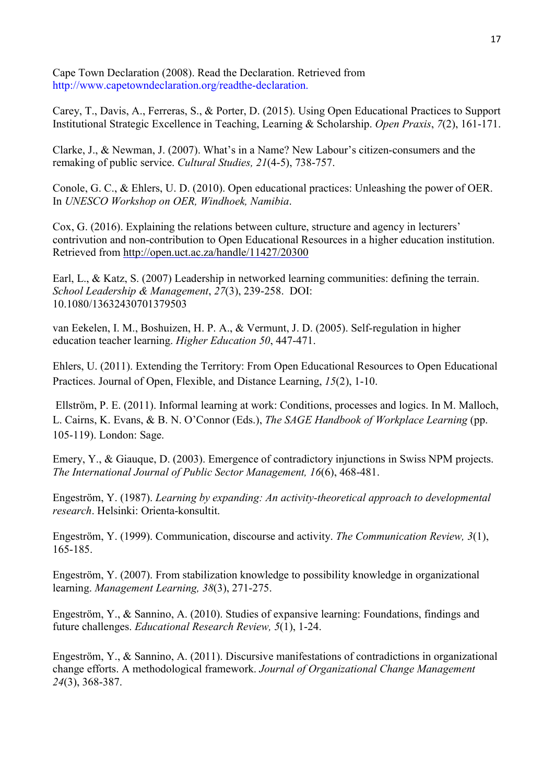Cape Town Declaration (2008). Read the Declaration. Retrieved from http://www.capetowndeclaration.org/readthe-declaration.

Carey, T., Davis, A., Ferreras, S., & Porter, D. (2015). Using Open Educational Practices to Support Institutional Strategic Excellence in Teaching, Learning & Scholarship. Open Praxis, 7(2), 161-171.

Clarke, J., & Newman, J. (2007). What's in a Name? New Labour's citizen-consumers and the remaking of public service. Cultural Studies, 21(4-5), 738-757.

Conole, G. C., & Ehlers, U. D. (2010). Open educational practices: Unleashing the power of OER. In UNESCO Workshop on OER, Windhoek, Namibia.

Cox, G. (2016). Explaining the relations between culture, structure and agency in lecturers' contrivution and non-contribution to Open Educational Resources in a higher education institution. Retrieved from http://open.uct.ac.za/handle/11427/20300

Earl, L., & Katz, S. (2007) Leadership in networked learning communities: defining the terrain. School Leadership & Management, 27(3), 239-258. DOI: 10.1080/13632430701379503

van Eekelen, I. M., Boshuizen, H. P. A., & Vermunt, J. D. (2005). Self-regulation in higher education teacher learning. Higher Education 50, 447-471.

Ehlers, U. (2011). Extending the Territory: From Open Educational Resources to Open Educational Practices. Journal of Open, Flexible, and Distance Learning, 15(2), 1-10.

 Ellström, P. E. (2011). Informal learning at work: Conditions, processes and logics. In M. Malloch, L. Cairns, K. Evans, & B. N. O'Connor (Eds.), The SAGE Handbook of Workplace Learning (pp. 105-119). London: Sage.

Emery, Y., & Giauque, D. (2003). Emergence of contradictory injunctions in Swiss NPM projects. The International Journal of Public Sector Management, 16(6), 468-481.

Engeström, Y. (1987). Learning by expanding: An activity-theoretical approach to developmental research. Helsinki: Orienta-konsultit.

Engeström, Y. (1999). Communication, discourse and activity. The Communication Review, 3(1), 165-185.

Engeström, Y. (2007). From stabilization knowledge to possibility knowledge in organizational learning. Management Learning, 38(3), 271-275.

Engeström, Y., & Sannino, A. (2010). Studies of expansive learning: Foundations, findings and future challenges. Educational Research Review, 5(1), 1-24.

Engeström, Y., & Sannino, A. (2011). Discursive manifestations of contradictions in organizational change efforts. A methodological framework. Journal of Organizational Change Management 24(3), 368-387.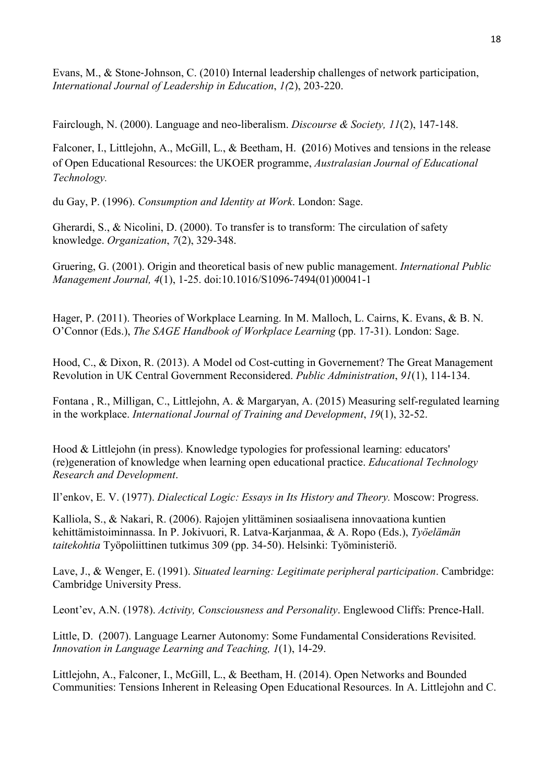Evans, M., & Stone‐Johnson, C. (2010) Internal leadership challenges of network participation, International Journal of Leadership in Education, 1(2), 203-220.

Fairclough, N. (2000). Language and neo-liberalism. Discourse & Society, 11(2), 147-148.

Falconer, I., Littlejohn, A., McGill, L., & Beetham, H. (2016) Motives and tensions in the release of Open Educational Resources: the UKOER programme, Australasian Journal of Educational Technology.

du Gay, P. (1996). Consumption and Identity at Work. London: Sage.

Gherardi, S., & Nicolini, D. (2000). To transfer is to transform: The circulation of safety knowledge. Organization, 7(2), 329-348.

Gruering, G. (2001). Origin and theoretical basis of new public management. International Public Management Journal, 4(1), 1-25. doi:10.1016/S1096-7494(01)00041-1

Hager, P. (2011). Theories of Workplace Learning. In M. Malloch, L. Cairns, K. Evans, & B. N. O'Connor (Eds.), The SAGE Handbook of Workplace Learning (pp. 17-31). London: Sage.

Hood, C., & Dixon, R. (2013). A Model od Cost-cutting in Governement? The Great Management Revolution in UK Central Government Reconsidered. Public Administration, 91(1), 114-134.

Fontana , R., Milligan, C., Littlejohn, A. & Margaryan, A. (2015) Measuring self-regulated learning in the workplace. International Journal of Training and Development, 19(1), 32-52.

Hood & Littlejohn (in press). Knowledge typologies for professional learning: educators' (re)generation of knowledge when learning open educational practice. Educational Technology Research and Development.

Il'enkov, E. V. (1977). Dialectical Logic: Essays in Its History and Theory. Moscow: Progress.

Kalliola, S., & Nakari, R. (2006). Rajojen ylittäminen sosiaalisena innovaationa kuntien kehittämistoiminnassa. In P. Jokivuori, R. Latva-Karjanmaa, & A. Ropo (Eds.), Työelämän taitekohtia Työpoliittinen tutkimus 309 (pp. 34-50). Helsinki: Työministeriö.

Lave, J., & Wenger, E. (1991). Situated learning: Legitimate peripheral participation. Cambridge: Cambridge University Press.

Leont'ev, A.N. (1978). Activity, Consciousness and Personality. Englewood Cliffs: Prence-Hall.

Little, D. (2007). Language Learner Autonomy: Some Fundamental Considerations Revisited. Innovation in Language Learning and Teaching, 1(1), 14-29.

Littlejohn, A., Falconer, I., McGill, L., & Beetham, H. (2014). Open Networks and Bounded Communities: Tensions Inherent in Releasing Open Educational Resources. In A. Littlejohn and C.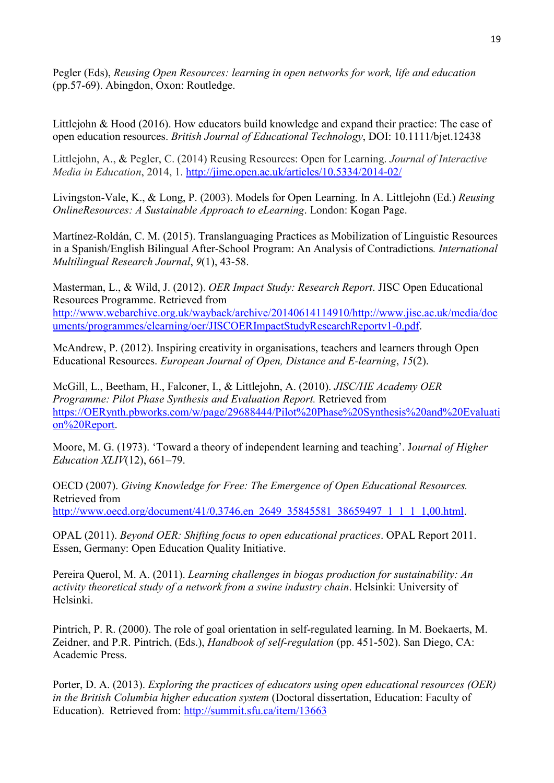Pegler (Eds), Reusing Open Resources: learning in open networks for work, life and education (pp.57-69). Abingdon, Oxon: Routledge.

Littlejohn & Hood (2016). How educators build knowledge and expand their practice: The case of open education resources. British Journal of Educational Technology, DOI: 10.1111/bjet.12438

Littlejohn, A., & Pegler, C. (2014) Reusing Resources: Open for Learning. Journal of Interactive Media in Education, 2014, 1. http://jime.open.ac.uk/articles/10.5334/2014-02/

Livingston-Vale, K., & Long, P. (2003). Models for Open Learning. In A. Littlejohn (Ed.) Reusing OnlineResources: A Sustainable Approach to eLearning. London: Kogan Page.

Martínez-Roldán, C. M. (2015). Translanguaging Practices as Mobilization of Linguistic Resources in a Spanish/English Bilingual After-School Program: An Analysis of Contradictions. International Multilingual Research Journal, 9(1), 43-58.

Masterman, L., & Wild, J. (2012). OER Impact Study: Research Report. JISC Open Educational Resources Programme. Retrieved from http://www.webarchive.org.uk/wayback/archive/20140614114910/http://www.jisc.ac.uk/media/doc uments/programmes/elearning/oer/JISCOERImpactStudyResearchReportv1-0.pdf.

McAndrew, P. (2012). Inspiring creativity in organisations, teachers and learners through Open Educational Resources. European Journal of Open, Distance and E-learning, 15(2).

McGill, L., Beetham, H., Falconer, I., & Littlejohn, A. (2010). JISC/HE Academy OER Programme: Pilot Phase Synthesis and Evaluation Report. Retrieved from https://OERynth.pbworks.com/w/page/29688444/Pilot%20Phase%20Synthesis%20and%20Evaluati on%20Report.

Moore, M. G. (1973). 'Toward a theory of independent learning and teaching'. Journal of Higher Education XLIV(12), 661-79.

OECD (2007). Giving Knowledge for Free: The Emergence of Open Educational Resources. Retrieved from http://www.oecd.org/document/41/0,3746,en\_2649\_35845581\_38659497\_1\_1\_1\_1,00.html.

OPAL (2011). Beyond OER: Shifting focus to open educational practices. OPAL Report 2011. Essen, Germany: Open Education Quality Initiative.

Pereira Querol, M. A. (2011). Learning challenges in biogas production for sustainability: An activity theoretical study of a network from a swine industry chain. Helsinki: University of Helsinki.

Pintrich, P. R. (2000). The role of goal orientation in self-regulated learning. In M. Boekaerts, M. Zeidner, and P.R. Pintrich, (Eds.), Handbook of self-regulation (pp. 451-502). San Diego, CA: Academic Press.

Porter, D. A. (2013). Exploring the practices of educators using open educational resources (OER) in the British Columbia higher education system (Doctoral dissertation, Education: Faculty of Education). Retrieved from: http://summit.sfu.ca/item/13663